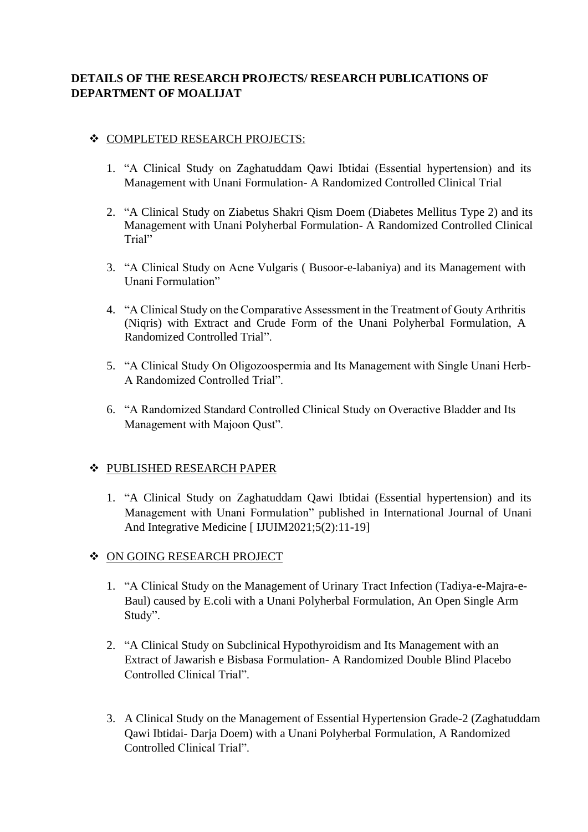# **DETAILS OF THE RESEARCH PROJECTS/ RESEARCH PUBLICATIONS OF DEPARTMENT OF MOALIJAT**

## ❖ COMPLETED RESEARCH PROJECTS:

- 1. "A Clinical Study on Zaghatuddam Qawi Ibtidai (Essential hypertension) and its Management with Unani Formulation- A Randomized Controlled Clinical Trial
- 2. "A Clinical Study on Ziabetus Shakri Qism Doem (Diabetes Mellitus Type 2) and its Management with Unani Polyherbal Formulation- A Randomized Controlled Clinical Trial"
- 3. "A Clinical Study on Acne Vulgaris ( Busoor-e-labaniya) and its Management with Unani Formulation"
- 4. "A Clinical Study on the Comparative Assessment in the Treatment of Gouty Arthritis (Niqris) with Extract and Crude Form of the Unani Polyherbal Formulation, A Randomized Controlled Trial".
- 5. "A Clinical Study On Oligozoospermia and Its Management with Single Unani Herb-A Randomized Controlled Trial".
- 6. "A Randomized Standard Controlled Clinical Study on Overactive Bladder and Its Management with Majoon Qust".

#### ❖ PUBLISHED RESEARCH PAPER

1. "A Clinical Study on Zaghatuddam Qawi Ibtidai (Essential hypertension) and its Management with Unani Formulation" published in International Journal of Unani And Integrative Medicine [ IJUIM2021;5(2):11-19]

## ❖ ON GOING RESEARCH PROJECT

- 1. "A Clinical Study on the Management of Urinary Tract Infection (Tadiya-e-Majra-e-Baul) caused by E.coli with a Unani Polyherbal Formulation, An Open Single Arm Study".
- 2. "A Clinical Study on Subclinical Hypothyroidism and Its Management with an Extract of Jawarish e Bisbasa Formulation- A Randomized Double Blind Placebo Controlled Clinical Trial".
- 3. A Clinical Study on the Management of Essential Hypertension Grade-2 (Zaghatuddam Qawi Ibtidai- Darja Doem) with a Unani Polyherbal Formulation, A Randomized Controlled Clinical Trial".